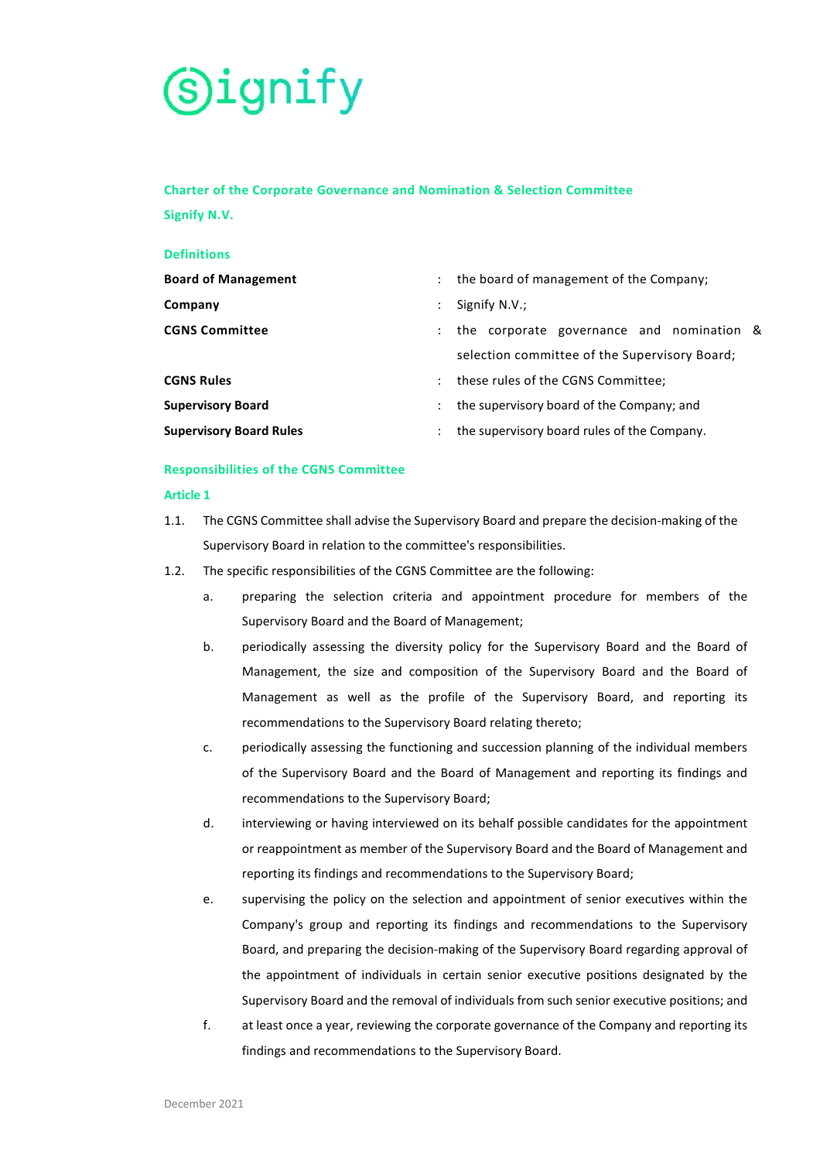

# **Charter of the Corporate Governance and Nomination & Selection Committee**

**Signify N.V.** 

| <b>Definitions</b>             |                                                                   |
|--------------------------------|-------------------------------------------------------------------|
| <b>Board of Management</b>     | : the board of management of the Company;                         |
| Company                        | Signify N.V.;                                                     |
| <b>CGNS Committee</b>          | the corporate governance and nomination &<br>$\ddot{\phantom{0}}$ |
|                                | selection committee of the Supervisory Board;                     |
| <b>CGNS Rules</b>              | these rules of the CGNS Committee;<br>$\mathbb{Z}$                |
| <b>Supervisory Board</b>       | the supervisory board of the Company; and<br>÷                    |
| <b>Supervisory Board Rules</b> | the supervisory board rules of the Company.                       |
|                                |                                                                   |

### **Responsibilities of the CGNS Committee**

### **Article 1**

- 1.1. The CGNS Committee shall advise the Supervisory Board and prepare the decision-making of the Supervisory Board in relation to the committee's responsibilities.
- 1.2. The specific responsibilities of the CGNS Committee are the following:
	- a. preparing the selection criteria and appointment procedure for members of the Supervisory Board and the Board of Management;
	- b. periodically assessing the diversity policy for the Supervisory Board and the Board of Management, the size and composition of the Supervisory Board and the Board of Management as well as the profile of the Supervisory Board, and reporting its recommendations to the Supervisory Board relating thereto;
	- c. periodically assessing the functioning and succession planning of the individual members of the Supervisory Board and the Board of Management and reporting its findings and recommendations to the Supervisory Board;
	- d. interviewing or having interviewed on its behalf possible candidates for the appointment or reappointment as member of the Supervisory Board and the Board of Management and reporting its findings and recommendations to the Supervisory Board;
	- e. supervising the policy on the selection and appointment of senior executives within the Company's group and reporting its findings and recommendations to the Supervisory Board, and preparing the decision-making of the Supervisory Board regarding approval of the appointment of individuals in certain senior executive positions designated by the Supervisory Board and the removal of individuals from such senior executive positions; and
	- f. at least once a year, reviewing the corporate governance of the Company and reporting its findings and recommendations to the Supervisory Board.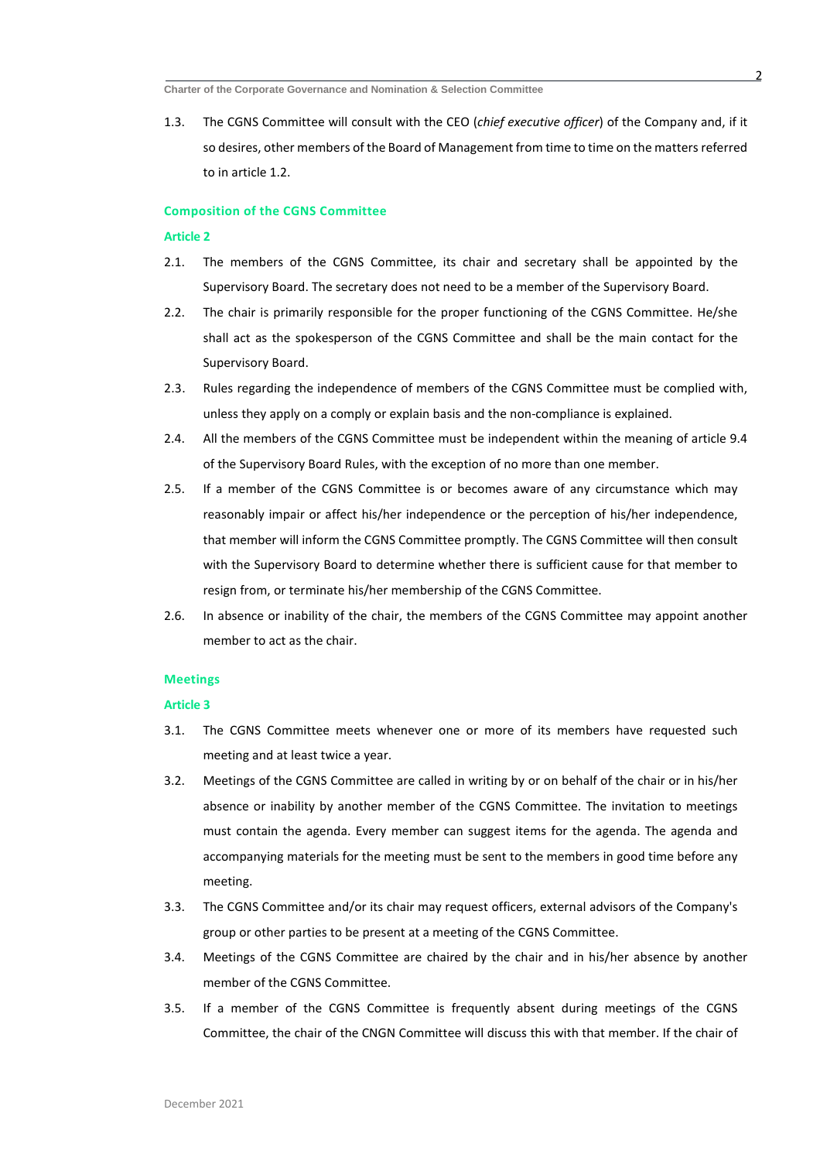1.3. The CGNS Committee will consult with the CEO (*chief executive officer*) of the Company and, if it so desires, other members of the Board of Management from time to time on the matters referred to in article 1.2.

#### **Composition of the CGNS Committee**

### **Article 2**

- 2.1. The members of the CGNS Committee, its chair and secretary shall be appointed by the Supervisory Board. The secretary does not need to be a member of the Supervisory Board.
- 2.2. The chair is primarily responsible for the proper functioning of the CGNS Committee. He/she shall act as the spokesperson of the CGNS Committee and shall be the main contact for the Supervisory Board.
- 2.3. Rules regarding the independence of members of the CGNS Committee must be complied with, unless they apply on a comply or explain basis and the non-compliance is explained.
- 2.4. All the members of the CGNS Committee must be independent within the meaning of article 9.4 of the Supervisory Board Rules, with the exception of no more than one member.
- 2.5. If a member of the CGNS Committee is or becomes aware of any circumstance which may reasonably impair or affect his/her independence or the perception of his/her independence, that member will inform the CGNS Committee promptly. The CGNS Committee will then consult with the Supervisory Board to determine whether there is sufficient cause for that member to resign from, or terminate his/her membership of the CGNS Committee.
- 2.6. In absence or inability of the chair, the members of the CGNS Committee may appoint another member to act as the chair.

#### **Meetings**

#### **Article 3**

- 3.1. The CGNS Committee meets whenever one or more of its members have requested such meeting and at least twice a year.
- 3.2. Meetings of the CGNS Committee are called in writing by or on behalf of the chair or in his/her absence or inability by another member of the CGNS Committee. The invitation to meetings must contain the agenda. Every member can suggest items for the agenda. The agenda and accompanying materials for the meeting must be sent to the members in good time before any meeting.
- 3.3. The CGNS Committee and/or its chair may request officers, external advisors of the Company's group or other parties to be present at a meeting of the CGNS Committee.
- 3.4. Meetings of the CGNS Committee are chaired by the chair and in his/her absence by another member of the CGNS Committee.
- 3.5. If a member of the CGNS Committee is frequently absent during meetings of the CGNS Committee, the chair of the CNGN Committee will discuss this with that member. If the chair of